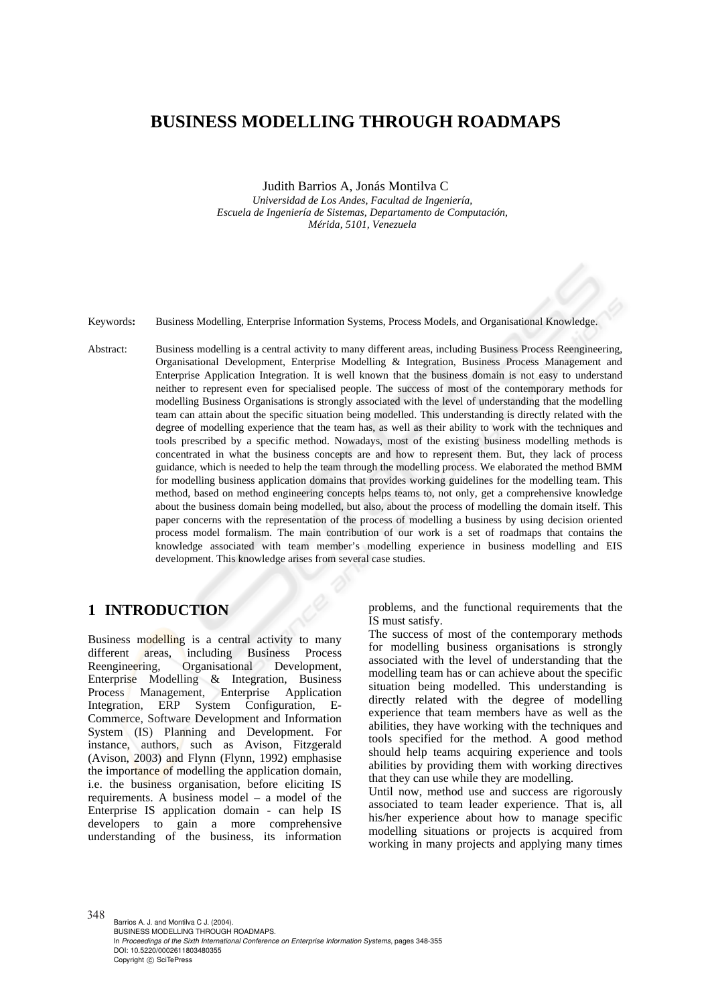# **BUSINESS MODELLING THROUGH ROADMAPS**

Judith Barrios A, Jonás Montilva C

*Universidad de Los Andes, Facultad de Ingeniería, Escuela de Ingeniería de Sistemas, Departamento de Computación, Mérida, 5101, Venezuela* 

Keywords**:** Business Modelling, Enterprise Information Systems, Process Models, and Organisational Knowledge.

Abstract: Business modelling is a central activity to many different areas, including Business Process Reengineering, Organisational Development, Enterprise Modelling & Integration, Business Process Management and Enterprise Application Integration. It is well known that the business domain is not easy to understand neither to represent even for specialised people. The success of most of the contemporary methods for modelling Business Organisations is strongly associated with the level of understanding that the modelling team can attain about the specific situation being modelled. This understanding is directly related with the degree of modelling experience that the team has, as well as their ability to work with the techniques and tools prescribed by a specific method. Nowadays, most of the existing business modelling methods is concentrated in what the business concepts are and how to represent them. But, they lack of process guidance, which is needed to help the team through the modelling process. We elaborated the method BMM for modelling business application domains that provides working guidelines for the modelling team. This method, based on method engineering concepts helps teams to, not only, get a comprehensive knowledge about the business domain being modelled, but also, about the process of modelling the domain itself. This paper concerns with the representation of the process of modelling a business by using decision oriented process model formalism. The main contribution of our work is a set of roadmaps that contains the knowledge associated with team member's modelling experience in business modelling and EIS development. This knowledge arises from several case studies.

## **1 INTRODUCTION**

Business modelling is a central activity to many different areas, including Business Process Reengineering, Organisational Development, Enterprise Modelling & Integration, Business Process Management, Enterprise Application Integration, ERP System Configuration, E-Commerce, Software Development and Information System (IS) Planning and Development. For instance, authors, such as Avison, Fitzgerald (Avison, 2003) and Flynn (Flynn, 1992) emphasise the importance of modelling the application domain, i.e. the business organisation, before eliciting IS requirements. A business model – a model of the Enterprise IS application domain - can help IS developers to gain a more comprehensive understanding of the business, its information

problems, and the functional requirements that the IS must satisfy.

The success of most of the contemporary methods for modelling business organisations is strongly associated with the level of understanding that the modelling team has or can achieve about the specific situation being modelled. This understanding is directly related with the degree of modelling experience that team members have as well as the abilities, they have working with the techniques and tools specified for the method. A good method should help teams acquiring experience and tools abilities by providing them with working directives that they can use while they are modelling.

Until now, method use and success are rigorously associated to team leader experience. That is, all his/her experience about how to manage specific modelling situations or projects is acquired from working in many projects and applying many times

348 Barrios A. J. and Montilva C J. (2004). BUSINESS MODELLING THROUGH ROADMAPS. In *Proceedings of the Sixth International Conference on Enterprise Information Systems*, pages 348-355 DOI: 10.5220/0002611803480355 Copyright (C) SciTePress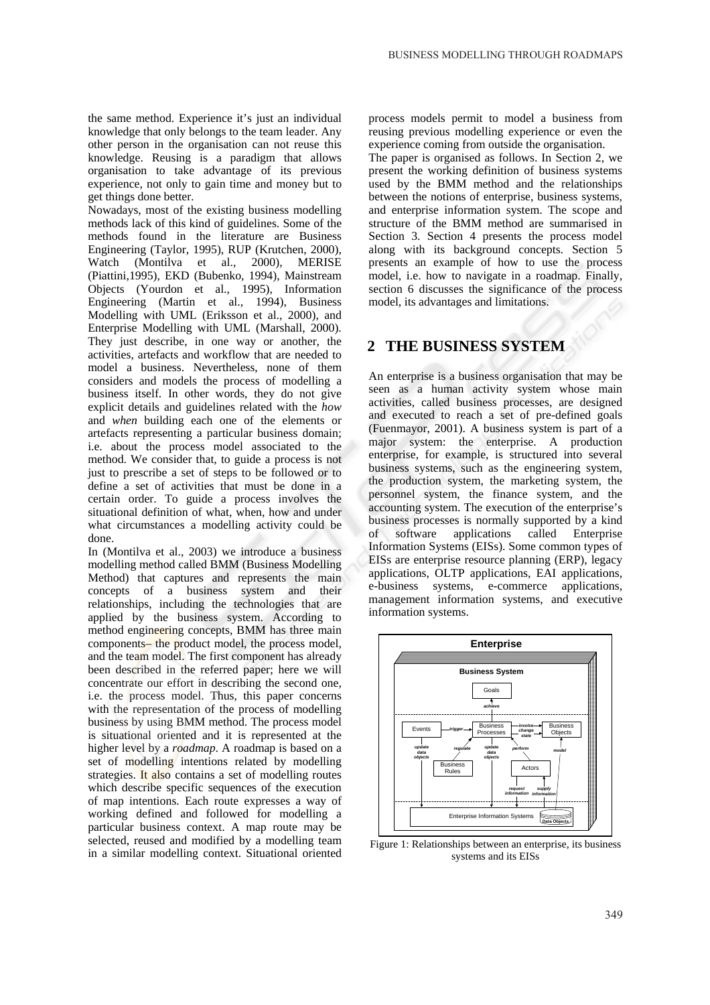the same method. Experience it's just an individual knowledge that only belongs to the team leader. Any other person in the organisation can not reuse this knowledge. Reusing is a paradigm that allows organisation to take advantage of its previous experience, not only to gain time and money but to get things done better.

Nowadays, most of the existing business modelling methods lack of this kind of guidelines. Some of the methods found in the literature are Business Engineering (Taylor, 1995), RUP (Krutchen, 2000), Watch (Montilva et al., 2000), MERISE (Piattini,1995), EKD (Bubenko, 1994), Mainstream Objects (Yourdon et al., 1995), Information Engineering (Martin et al., 1994), Business Modelling with UML (Eriksson et al., 2000), and Enterprise Modelling with UML (Marshall, 2000). They just describe, in one way or another, the activities, artefacts and workflow that are needed to model a business. Nevertheless, none of them considers and models the process of modelling a business itself. In other words, they do not give explicit details and guidelines related with the *how* and *when* building each one of the elements or artefacts representing a particular business domain; i.e. about the process model associated to the method. We consider that, to guide a process is not just to prescribe a set of steps to be followed or to define a set of activities that must be done in a certain order. To guide a process involves the situational definition of what, when, how and under what circumstances a modelling activity could be done.

In (Montilva et al., 2003) we introduce a business modelling method called BMM (Business Modelling Method) that captures and represents the main concepts of a business system and their relationships, including the technologies that are applied by the business system. According to method engineering concepts, BMM has three main components– the product model, the process model, and the team model. The first component has already been described in the referred paper; here we will concentrate our effort in describing the second one, i.e. the process model. Thus, this paper concerns with the representation of the process of modelling business by using BMM method. The process model is situational oriented and it is represented at the higher level by a *roadmap*. A roadmap is based on a set of modelling intentions related by modelling strategies. It also contains a set of modelling routes which describe specific sequences of the execution of map intentions. Each route expresses a way of working defined and followed for modelling a particular business context. A map route may be selected, reused and modified by a modelling team in a similar modelling context. Situational oriented

process models permit to model a business from reusing previous modelling experience or even the experience coming from outside the organisation.

The paper is organised as follows. In Section 2, we present the working definition of business systems used by the BMM method and the relationships between the notions of enterprise, business systems, and enterprise information system. The scope and structure of the BMM method are summarised in Section 3. Section 4 presents the process model along with its background concepts. Section 5 presents an example of how to use the process model, i.e. how to navigate in a roadmap. Finally, section 6 discusses the significance of the process model, its advantages and limitations.

### **2 THE BUSINESS SYSTEM**

An enterprise is a business organisation that may be seen as a human activity system whose main activities, called business processes, are designed and executed to reach a set of pre-defined goals (Fuenmayor, 2001). A business system is part of a major system: the enterprise. A production enterprise, for example, is structured into several business systems, such as the engineering system, the production system, the marketing system, the personnel system, the finance system, and the accounting system. The execution of the enterprise's business processes is normally supported by a kind of software applications called Enterprise Information Systems (EISs). Some common types of EISs are enterprise resource planning (ERP), legacy applications, OLTP applications, EAI applications, e-business systems, e-commerce applications, management information systems, and executive information systems.



Figure 1: Relationships between an enterprise, its business systems and its EISs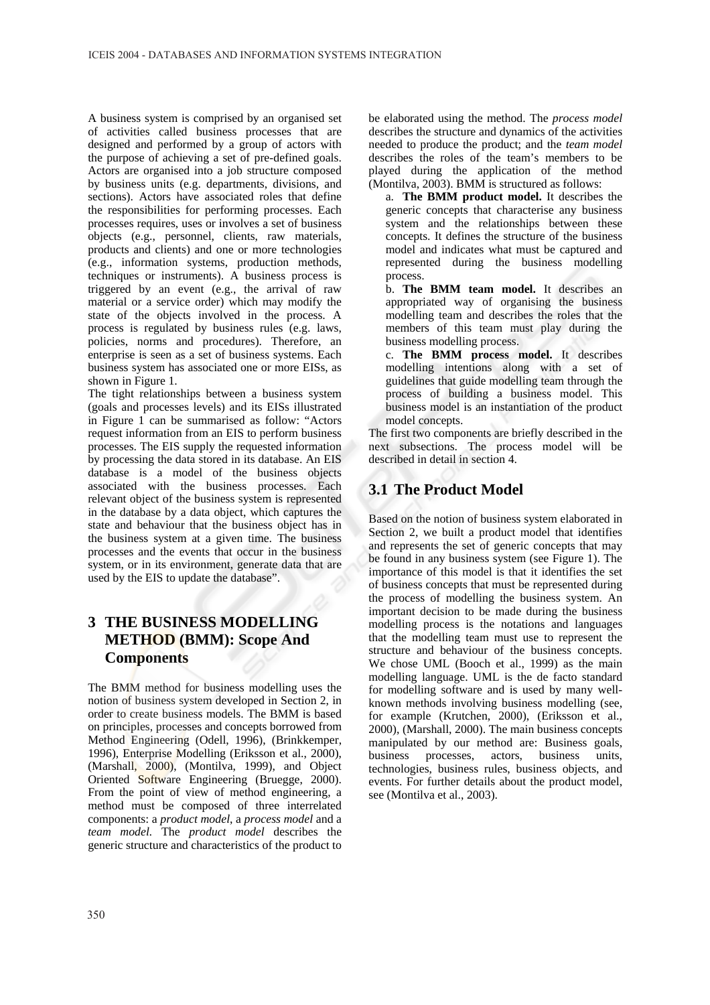A business system is comprised by an organised set of activities called business processes that are designed and performed by a group of actors with the purpose of achieving a set of pre-defined goals. Actors are organised into a job structure composed by business units (e.g. departments, divisions, and sections). Actors have associated roles that define the responsibilities for performing processes. Each processes requires, uses or involves a set of business objects (e.g., personnel, clients, raw materials, products and clients) and one or more technologies (e.g., information systems, production methods, techniques or instruments). A business process is triggered by an event (e.g., the arrival of raw material or a service order) which may modify the state of the objects involved in the process. A process is regulated by business rules (e.g. laws, policies, norms and procedures). Therefore, an enterprise is seen as a set of business systems. Each business system has associated one or more EISs, as shown in Figure 1.

The tight relationships between a business system (goals and processes levels) and its EISs illustrated in Figure 1 can be summarised as follow: "Actors request information from an EIS to perform business processes. The EIS supply the requested information by processing the data stored in its database. An EIS database is a model of the business objects associated with the business processes. Each relevant object of the business system is represented in the database by a data object, which captures the state and behaviour that the business object has in the business system at a given time. The business processes and the events that occur in the business system, or in its environment, generate data that are used by the EIS to update the database".

# **3 THE BUSINESS MODELLING METHOD (BMM): Scope And Components**

The BMM method for business modelling uses the notion of business system developed in Section 2, in order to create business models. The BMM is based on principles, processes and concepts borrowed from Method Engineering (Odell, 1996), (Brinkkemper, 1996), Enterprise Modelling (Eriksson et al., 2000), (Marshall, 2000), (Montilva, 1999), and Object Oriented Software Engineering (Bruegge, 2000). From the point of view of method engineering, a method must be composed of three interrelated components: a *product model*, a *process model* and a *team model.* The *product model* describes the generic structure and characteristics of the product to

be elaborated using the method. The *process model* describes the structure and dynamics of the activities needed to produce the product; and the *team model*  describes the roles of the team's members to be played during the application of the method (Montilva, 2003). BMM is structured as follows:

a. **The BMM product model.** It describes the generic concepts that characterise any business system and the relationships between these concepts. It defines the structure of the business model and indicates what must be captured and represented during the business modelling process.

b. **The BMM team model.** It describes an appropriated way of organising the business modelling team and describes the roles that the members of this team must play during the business modelling process.

c. **The BMM process model.** It describes modelling intentions along with a set of guidelines that guide modelling team through the process of building a business model. This business model is an instantiation of the product model concepts.

The first two components are briefly described in the next subsections. The process model will be described in detail in section 4.

# **3.1 The Product Model**

Based on the notion of business system elaborated in Section 2, we built a product model that identifies and represents the set of generic concepts that may be found in any business system (see Figure 1). The importance of this model is that it identifies the set of business concepts that must be represented during the process of modelling the business system. An important decision to be made during the business modelling process is the notations and languages that the modelling team must use to represent the structure and behaviour of the business concepts. We chose UML (Booch et al., 1999) as the main modelling language. UML is the de facto standard for modelling software and is used by many wellknown methods involving business modelling (see, for example (Krutchen, 2000), (Eriksson et al., 2000), (Marshall, 2000). The main business concepts manipulated by our method are: Business goals, business processes, actors, business units, technologies, business rules, business objects, and events. For further details about the product model, see (Montilva et al., 2003).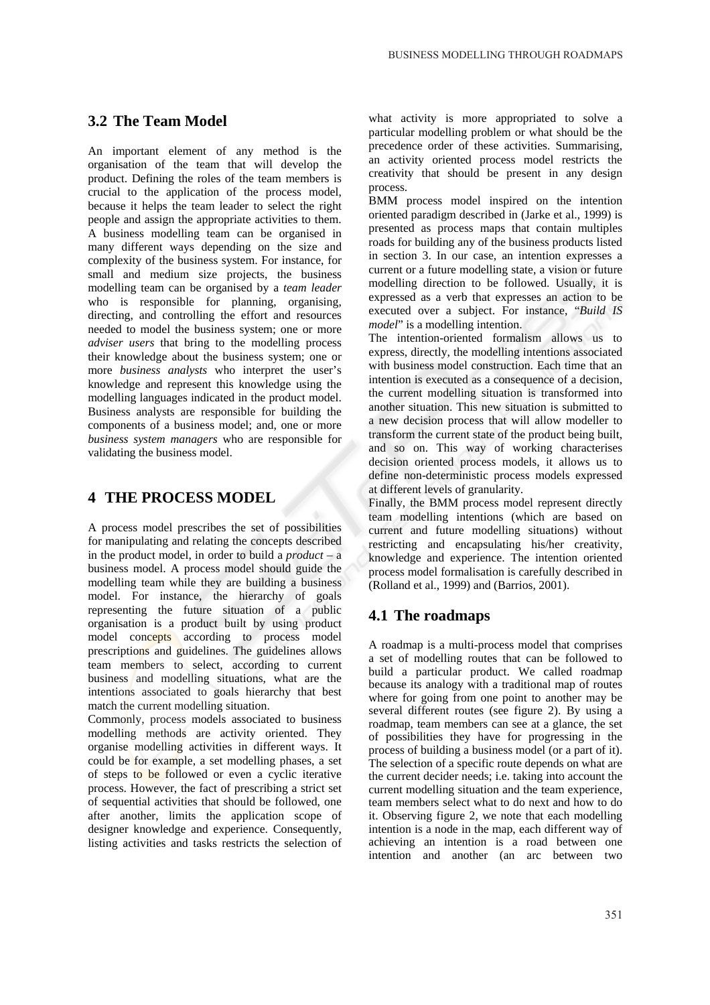### **3.2 The Team Model**

An important element of any method is the organisation of the team that will develop the product. Defining the roles of the team members is crucial to the application of the process model, because it helps the team leader to select the right people and assign the appropriate activities to them. A business modelling team can be organised in many different ways depending on the size and complexity of the business system. For instance, for small and medium size projects, the business modelling team can be organised by a *team leader* who is responsible for planning, organising, directing, and controlling the effort and resources needed to model the business system; one or more *adviser users* that bring to the modelling process their knowledge about the business system; one or more *business analysts* who interpret the user's knowledge and represent this knowledge using the modelling languages indicated in the product model. Business analysts are responsible for building the components of a business model; and, one or more *business system managers* who are responsible for validating the business model.

## **4 THE PROCESS MODEL**

A process model prescribes the set of possibilities for manipulating and relating the concepts described in the product model, in order to build a *product* – a business model. A process model should guide the modelling team while they are building a business model. For instance, the hierarchy of goals representing the future situation of a public organisation is a product built by using product model concepts according to process model prescriptions and guidelines. The guidelines allows team members to select, according to current business and modelling situations, what are the intentions associated to goals hierarchy that best match the current modelling situation.

Commonly, process models associated to business modelling methods are activity oriented. They organise modelling activities in different ways. It could be for example, a set modelling phases, a set of steps to be followed or even a cyclic iterative process. However, the fact of prescribing a strict set of sequential activities that should be followed, one after another, limits the application scope of designer knowledge and experience. Consequently, listing activities and tasks restricts the selection of

what activity is more appropriated to solve a particular modelling problem or what should be the precedence order of these activities. Summarising, an activity oriented process model restricts the creativity that should be present in any design process.

BMM process model inspired on the intention oriented paradigm described in (Jarke et al., 1999) is presented as process maps that contain multiples roads for building any of the business products listed in section 3. In our case, an intention expresses a current or a future modelling state, a vision or future modelling direction to be followed. Usually, it is expressed as a verb that expresses an action to be executed over a subject. For instance, "*Build IS model*" is a modelling intention.

The intention-oriented formalism allows us to express, directly, the modelling intentions associated with business model construction. Each time that an intention is executed as a consequence of a decision, the current modelling situation is transformed into another situation. This new situation is submitted to a new decision process that will allow modeller to transform the current state of the product being built, and so on. This way of working characterises decision oriented process models, it allows us to define non-deterministic process models expressed at different levels of granularity.

Finally, the BMM process model represent directly team modelling intentions (which are based on current and future modelling situations) without restricting and encapsulating his/her creativity, knowledge and experience. The intention oriented process model formalisation is carefully described in (Rolland et al., 1999) and (Barrios, 2001).

### **4.1 The roadmaps**

A roadmap is a multi-process model that comprises a set of modelling routes that can be followed to build a particular product. We called roadmap because its analogy with a traditional map of routes where for going from one point to another may be several different routes (see figure 2). By using a roadmap, team members can see at a glance, the set of possibilities they have for progressing in the process of building a business model (or a part of it). The selection of a specific route depends on what are the current decider needs; i.e. taking into account the current modelling situation and the team experience, team members select what to do next and how to do it. Observing figure 2, we note that each modelling intention is a node in the map, each different way of achieving an intention is a road between one intention and another (an arc between two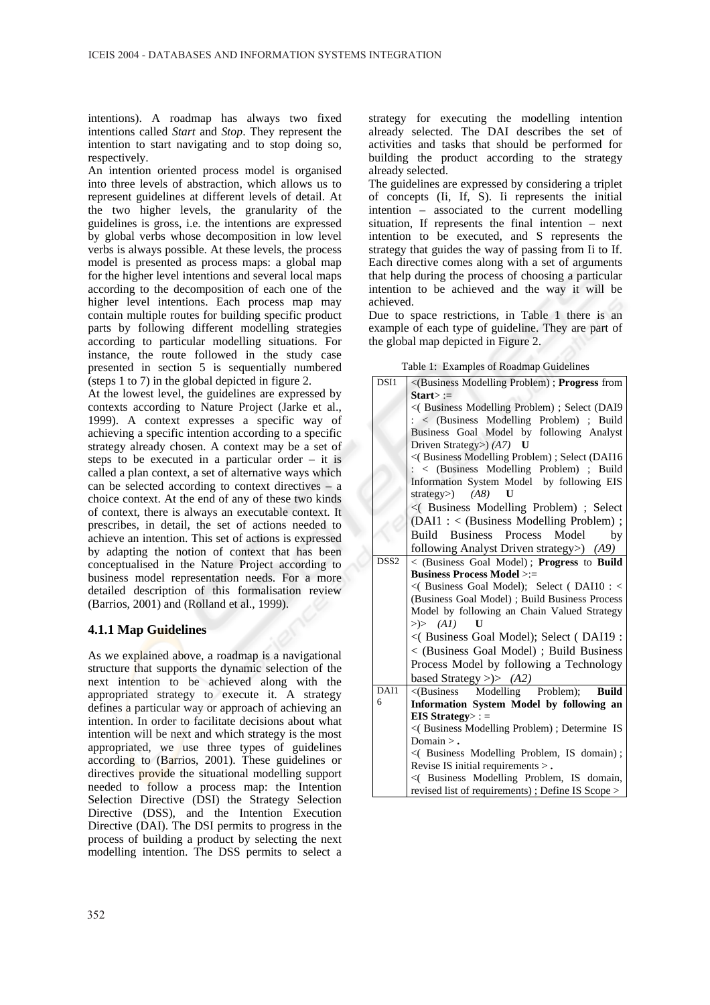intentions). A roadmap has always two fixed intentions called *Start* and *Stop*. They represent the intention to start navigating and to stop doing so, respectively.

An intention oriented process model is organised into three levels of abstraction, which allows us to represent guidelines at different levels of detail. At the two higher levels, the granularity of the guidelines is gross, i.e. the intentions are expressed by global verbs whose decomposition in low level verbs is always possible. At these levels, the process model is presented as process maps: a global map for the higher level intentions and several local maps according to the decomposition of each one of the higher level intentions. Each process map may contain multiple routes for building specific product parts by following different modelling strategies according to particular modelling situations. For instance, the route followed in the study case presented in section 5 is sequentially numbered (steps 1 to 7) in the global depicted in figure 2.

At the lowest level, the guidelines are expressed by contexts according to Nature Project (Jarke et al., 1999). A context expresses a specific way of achieving a specific intention according to a specific strategy already chosen. A context may be a set of steps to be executed in a particular order  $-$  it is called a plan context, a set of alternative ways which can be selected according to context directives – a choice context. At the end of any of these two kinds of context, there is always an executable context. It prescribes, in detail, the set of actions needed to achieve an intention. This set of actions is expressed by adapting the notion of context that has been conceptualised in the Nature Project according to business model representation needs. For a more detailed description of this formalisation review (Barrios, 2001) and (Rolland et al., 1999).

#### **4.1.1 Map Guidelines**

As we explained above, a roadmap is a navigational structure that supports the dynamic selection of the next intention to be achieved along with the appropriated strategy to execute it. A strategy defines a particular way or approach of achieving an intention. In order to facilitate decisions about what intention will be next and which strategy is the most appropriated, we use three types of guidelines according to (Barrios, 2001). These guidelines or directives provide the situational modelling support needed to follow a process map: the Intention Selection Directive (DSI) the Strategy Selection Directive (DSS), and the Intention Execution Directive (DAI). The DSI permits to progress in the process of building a product by selecting the next modelling intention. The DSS permits to select a

strategy for executing the modelling intention already selected. The DAI describes the set of activities and tasks that should be performed for building the product according to the strategy already selected.

The guidelines are expressed by considering a triplet of concepts (Ii, If, S). Ii represents the initial intention – associated to the current modelling situation, If represents the final intention – next intention to be executed, and S represents the strategy that guides the way of passing from Ii to If. Each directive comes along with a set of arguments that help during the process of choosing a particular intention to be achieved and the way it will be achieved.

Due to space restrictions, in Table 1 there is an example of each type of guideline. They are part of the global map depicted in Figure 2.

| Table 1: Examples of Roadmap Guidelines |
|-----------------------------------------|
|-----------------------------------------|

| DSI1             | <(Business Modelling Problem); Progress from     |
|------------------|--------------------------------------------------|
|                  | $Start$ :=                                       |
|                  | <( Business Modelling Problem) ; Select (DAI9    |
|                  | $: \langle$ (Business Modelling Problem) ; Build |
|                  | Business Goal Model by following Analyst         |
|                  | Driven Strategy> $(A7)$ U                        |
|                  | <(Business Modelling Problem); Select (DAI16     |
|                  | : < (Business Modelling Problem) ; Build         |
|                  | Information System Model by following EIS        |
|                  | strategy> $(A8)$<br>U                            |
|                  | <(Business Modelling Problem); Select            |
|                  | (DAI1: < (Business Modelling Problem);           |
|                  | Build<br>Business Process<br>Model<br>by         |
|                  | following Analyst Driven strategy>) (A9)         |
| DSS <sub>2</sub> | < (Business Goal Model); Progress to Build       |
|                  | <b>Business Process Model &gt;:=</b>             |
|                  | <( Business Goal Model); Select ( DAI10 : <      |
|                  | (Business Goal Model); Build Business Process    |
|                  | Model by following an Chain Valued Strategy      |
|                  | $\gg$ (A1)                                       |
|                  | <(Business Goal Model); Select (DAI19:           |
|                  | < (Business Goal Model); Build Business          |
|                  | Process Model by following a Technology          |
|                  | based Strategy >)> $(A2)$                        |
| DAI1             | <(Business Modelling Problem);<br><b>Build</b>   |
| 6                | Information System Model by following an         |
|                  | EIS Strategy>: $=$                               |
|                  | <(Business Modelling Problem); Determine IS      |
|                  | Domain $\geq$ .                                  |
|                  | <(Business Modelling Problem, IS domain);        |
|                  | Revise IS initial requirements $>$ .             |
|                  | <(Business Modelling Problem, IS domain,         |
|                  | revised list of requirements); Define IS Scope > |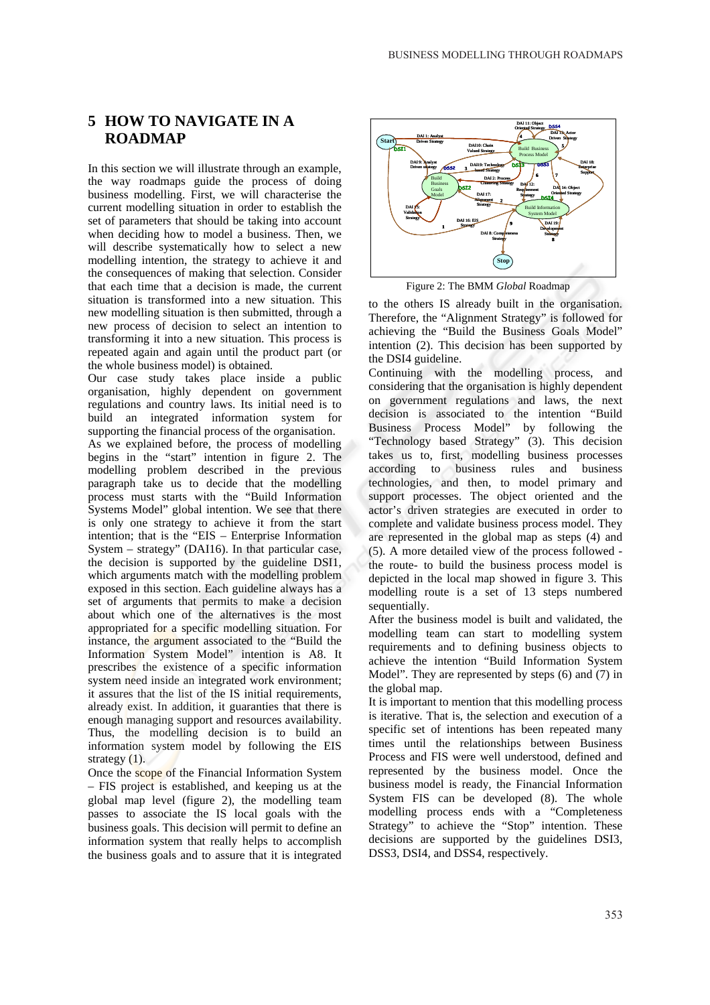## **5 HOW TO NAVIGATE IN A ROADMAP**

In this section we will illustrate through an example, the way roadmaps guide the process of doing business modelling. First, we will characterise the current modelling situation in order to establish the set of parameters that should be taking into account when deciding how to model a business. Then, we will describe systematically how to select a new modelling intention, the strategy to achieve it and the consequences of making that selection. Consider that each time that a decision is made, the current situation is transformed into a new situation. This new modelling situation is then submitted, through a new process of decision to select an intention to transforming it into a new situation. This process is repeated again and again until the product part (or the whole business model) is obtained.

Our case study takes place inside a public organisation, highly dependent on government regulations and country laws. Its initial need is to build an integrated information system for supporting the financial process of the organisation.

As we explained before, the process of modelling begins in the "start" intention in figure 2. The modelling problem described in the previous paragraph take us to decide that the modelling process must starts with the "Build Information Systems Model" global intention. We see that there is only one strategy to achieve it from the start intention; that is the "EIS – Enterprise Information System – strategy" (DAI16). In that particular case, the decision is supported by the guideline DSI1, which arguments match with the modelling problem exposed in this section. Each guideline always has a set of arguments that permits to make a decision about which one of the alternatives is the most appropriated for a specific modelling situation. For instance, the argument associated to the "Build the Information System Model" intention is A8. It prescribes the existence of a specific information system need inside an integrated work environment; it assures that the list of the IS initial requirements, already exist. In addition, it guaranties that there is enough managing support and resources availability. Thus, the modelling decision is to build an information system model by following the EIS strategy  $(1)$ .

Once the scope of the Financial Information System – FIS project is established, and keeping us at the global map level (figure 2), the modelling team passes to associate the IS local goals with the business goals. This decision will permit to define an information system that really helps to accomplish the business goals and to assure that it is integrated



Figure 2: The BMM *Global* Roadmap

to the others IS already built in the organisation. Therefore, the "Alignment Strategy" is followed for achieving the "Build the Business Goals Model" intention (2). This decision has been supported by the DSI4 guideline.

Continuing with the modelling process, and considering that the organisation is highly dependent on government regulations and laws, the next decision is associated to the intention "Build Business Process Model" by following the "Technology based Strategy" (3). This decision takes us to, first, modelling business processes according to business rules and business technologies, and then, to model primary and support processes. The object oriented and the actor's driven strategies are executed in order to complete and validate business process model. They are represented in the global map as steps (4) and (5). A more detailed view of the process followed the route- to build the business process model is depicted in the local map showed in figure 3. This modelling route is a set of 13 steps numbered sequentially.

After the business model is built and validated, the modelling team can start to modelling system requirements and to defining business objects to achieve the intention "Build Information System Model". They are represented by steps (6) and (7) in the global map.

It is important to mention that this modelling process is iterative. That is, the selection and execution of a specific set of intentions has been repeated many times until the relationships between Business Process and FIS were well understood, defined and represented by the business model. Once the business model is ready, the Financial Information System FIS can be developed (8). The whole modelling process ends with a "Completeness Strategy" to achieve the "Stop" intention. These decisions are supported by the guidelines DSI3, DSS3, DSI4, and DSS4, respectively.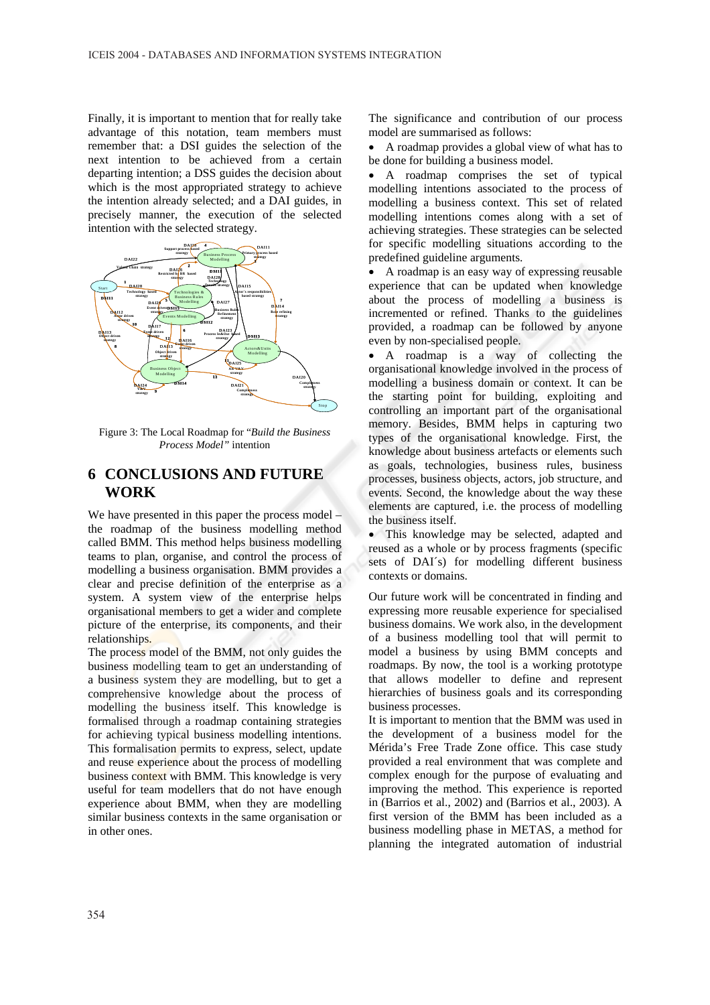Finally, it is important to mention that for really take advantage of this notation, team members must remember that: a DSI guides the selection of the next intention to be achieved from a certain departing intention; a DSS guides the decision about which is the most appropriated strategy to achieve the intention already selected; and a DAI guides, in precisely manner, the execution of the selected intention with the selected strategy.



Figure 3: The Local Roadmap for "*Build the Business Process Model"* intention

### **6 CONCLUSIONS AND FUTURE WORK**

We have presented in this paper the process model – the roadmap of the business modelling method called BMM. This method helps business modelling teams to plan, organise, and control the process of modelling a business organisation. BMM provides a clear and precise definition of the enterprise as a system. A system view of the enterprise helps organisational members to get a wider and complete picture of the enterprise, its components, and their relationships.

The process model of the BMM, not only guides the business modelling team to get an understanding of a business system they are modelling, but to get a comprehensive knowledge about the process of modelling the business itself. This knowledge is formalised through a roadmap containing strategies for achieving typical business modelling intentions. This formalisation permits to express, select, update and reuse experience about the process of modelling business context with BMM. This knowledge is very useful for team modellers that do not have enough experience about BMM, when they are modelling similar business contexts in the same organisation or in other ones.

The significance and contribution of our process model are summarised as follows:

• A roadmap provides a global view of what has to be done for building a business model.

• A roadmap comprises the set of typical modelling intentions associated to the process of modelling a business context. This set of related modelling intentions comes along with a set of achieving strategies. These strategies can be selected for specific modelling situations according to the predefined guideline arguments.

• A roadmap is an easy way of expressing reusable experience that can be updated when knowledge about the process of modelling a business is incremented or refined. Thanks to the guidelines provided, a roadmap can be followed by anyone even by non-specialised people.

• A roadmap is a way of collecting the organisational knowledge involved in the process of modelling a business domain or context. It can be the starting point for building, exploiting and controlling an important part of the organisational memory. Besides, BMM helps in capturing two types of the organisational knowledge. First, the knowledge about business artefacts or elements such as goals, technologies, business rules, business processes, business objects, actors, job structure, and events. Second, the knowledge about the way these elements are captured, i.e. the process of modelling the business itself.

• This knowledge may be selected, adapted and reused as a whole or by process fragments (specific sets of DAI´s) for modelling different business contexts or domains.

Our future work will be concentrated in finding and expressing more reusable experience for specialised business domains. We work also, in the development of a business modelling tool that will permit to model a business by using BMM concepts and roadmaps. By now, the tool is a working prototype that allows modeller to define and represent hierarchies of business goals and its corresponding business processes.

It is important to mention that the BMM was used in the development of a business model for the Mérida's Free Trade Zone office. This case study provided a real environment that was complete and complex enough for the purpose of evaluating and improving the method. This experience is reported in (Barrios et al., 2002) and (Barrios et al., 2003). A first version of the BMM has been included as a business modelling phase in METAS, a method for planning the integrated automation of industrial